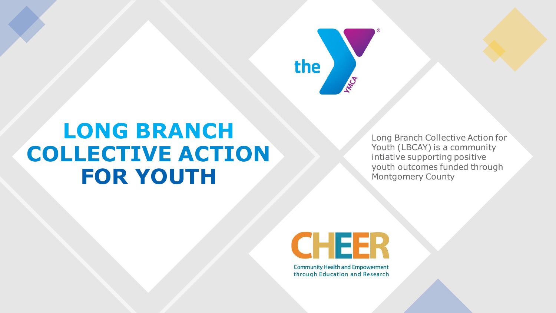

# **LONG BRANCH COLLECTIVE ACTION FOR YOUTH**

Long Branch Collective Action for Youth (LBCAY) is a community intiative supporting positive youth outcomes funded through Montgomery County



**Community Health and Empowerment** through Education and Research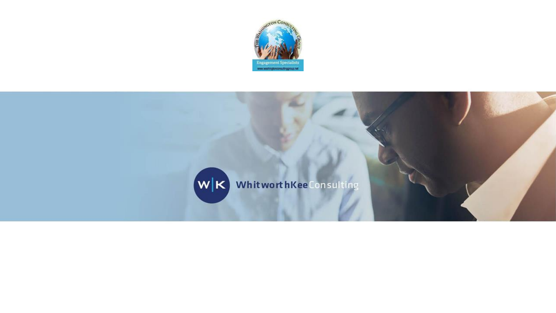

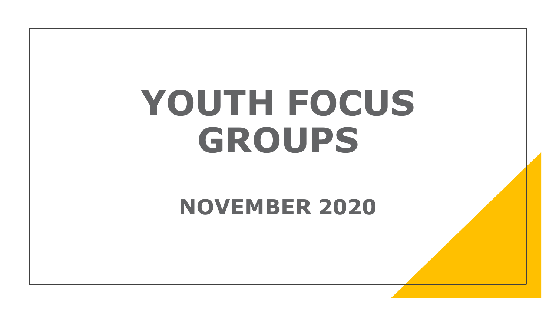# **YOUTH FOCUS GROUPS**

# **NOVEMBER 2020**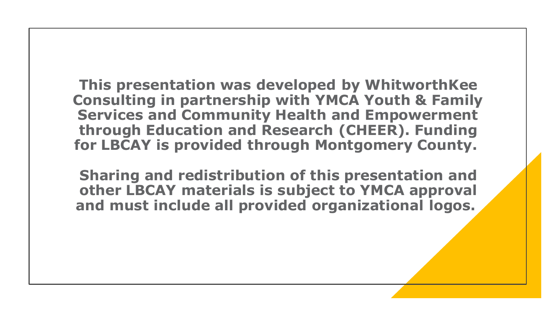**This presentation was developed by WhitworthKee Consulting in partnership with YMCA Youth & Family Services and Community Health and Empowerment through Education and Research (CHEER). Funding for LBCAY is provided through Montgomery County.**

**Sharing and redistribution of this presentation and other LBCAY materials is subject to YMCA approval and must include all provided organizational logos.**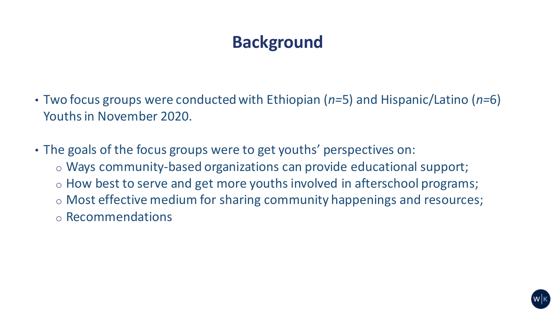# **Background**

- Two focus groups were conducted with Ethiopian (*n=*5) and Hispanic/Latino (*n=*6) Youths in November 2020.
- The goals of the focus groups were to get youths' perspectives on: o Ways community-based organizations can provide educational support; o How best to serve and get more youths involved in afterschool programs; o Most effective medium for sharing community happenings and resources; o Recommendations

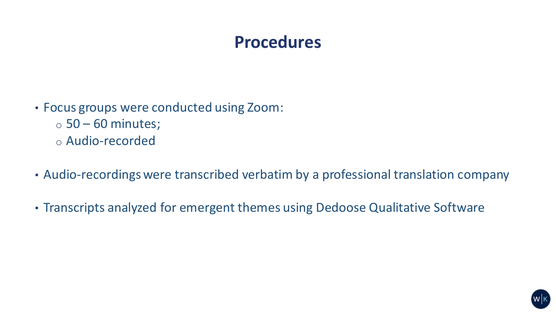## **Procedures**

- Focus groups were conducted using Zoom:
	- $\circ$  50 60 minutes;
	- o Audio-recorded
- Audio-recordings were transcribed verbatim by a professional translation company
- Transcripts analyzed for emergent themes using Dedoose Qualitative Software

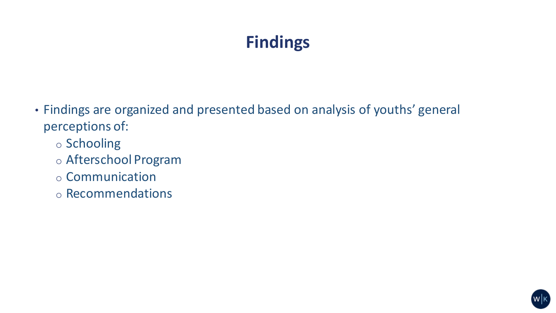# **Findings**

- Findings are organized and presented based on analysis of youths' general perceptions of:
	- o Schooling
	- o Afterschool Program
	- o Communication
	- o Recommendations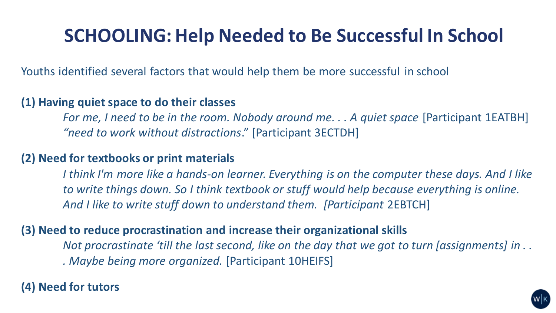# **SCHOOLING: Help Needed to Be Successful In School**

Youths identified several factors that would help them be more successful in school

#### **(1) Having quiet space to do their classes**

*For me, I need to be in the room. Nobody around me. . . A quiet space* [Participant 1EATBH] *"need to work without distractions*." [Participant 3ECTDH]

#### **(2) Need for textbooks or print materials**

*I think I'm more like a hands-on learner. Everything is on the computer these days. And I like to write things down. So I think textbook or stuff would help because everything is online.*  And I like to write stuff down to understand them. [Participant 2EBTCH]

#### **(3) Need to reduce procrastination and increase their organizational skills**

*Not procrastinate 'till the last second, like on the day that we got to turn [assignments] in . . . Maybe being more organized.* [Participant 10HEIFS]

#### **(4) Need for tutors**

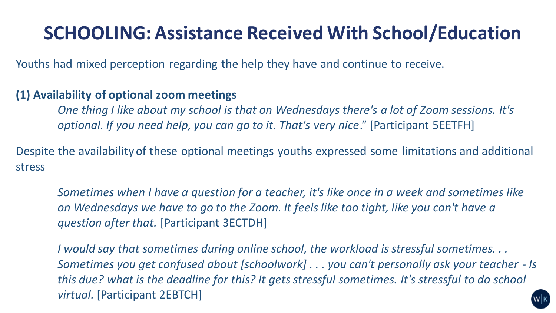# **SCHOOLING: Assistance Received With School/Education**

Youths had mixed perception regarding the help they have and continue to receive.

#### **(1) Availability of optional zoom meetings**

*One thing I like about my school is that on Wednesdays there's a lot of Zoom sessions. It's optional. If you need help, you can go to it. That's very nice*." [Participant 5EETFH]

Despite the availability of these optional meetings youths expressed some limitations and additional stress

*Sometimes when I have a question for a teacher, it's like once in a week and sometimes like on Wednesdays we have to go to the Zoom. It feels like too tight, like you can't have a question after that.* [Participant 3ECTDH]

*I would say that sometimes during online school, the workload is stressful sometimes. . . Sometimes you get confused about [schoolwork] . . . you can't personally ask your teacher - Is this due? what is the deadline for this? It gets stressful sometimes. It's stressful to do school virtual.* [Participant 2EBTCH]

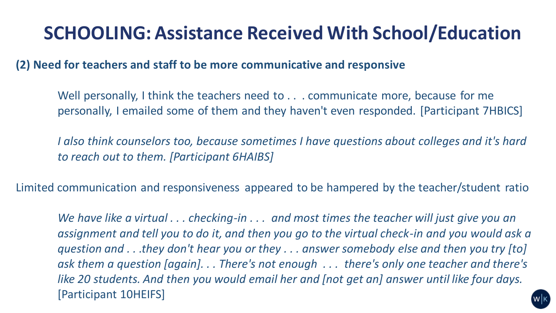# **SCHOOLING: Assistance Received With School/Education**

**(2) Need for teachers and staff to be more communicative and responsive**

Well personally, I think the teachers need to . . . communicate more, because for me personally, I emailed some of them and they haven't even responded. [Participant 7HBICS]

*I* also think counselors too, because sometimes *I* have questions about colleges and it's hard *to reach out to them. [Participant 6HAIBS]*

Limited communication and responsiveness appeared to be hampered by the teacher/student ratio

*We have like a virtual . . . checking-in . . . and most times the teacher will just give you an assignment and tell you to do it, and then you go to the virtual check-in and you would ask a question and . . .they don't hear you or they . . . answer somebody else and then you try [to] ask them a question [again]. . . There's not enough . . . there's only one teacher and there's like 20 students. And then you would email her and [not get an] answer until like four days.* [Participant 10HEIFS]

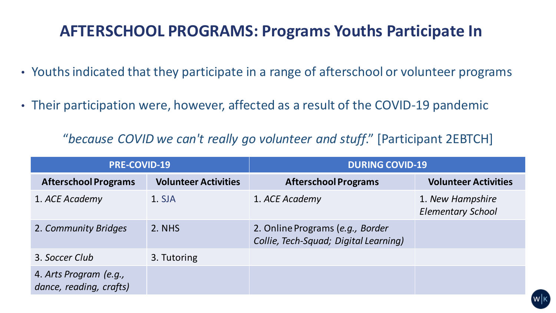## **AFTERSCHOOL PROGRAMS: Programs Youths Participate In**

- Youths indicated that they participate in a range of afterschool or volunteer programs
- Their participation were, however, affected as a result of the COVID-19 pandemic

"*because COVID we can't really go volunteer and stuff*." [Participant 2EBTCH]

| <b>PRE-COVID-19</b>                               |                             | <b>DURING COVID-19</b>                                                    |                                              |
|---------------------------------------------------|-----------------------------|---------------------------------------------------------------------------|----------------------------------------------|
| <b>Afterschool Programs</b>                       | <b>Volunteer Activities</b> | <b>Afterschool Programs</b>                                               | <b>Volunteer Activities</b>                  |
| 1. ACE Academy                                    | 1. SJA                      | 1. ACE Academy                                                            | 1. New Hampshire<br><b>Elementary School</b> |
| 2. Community Bridges                              | 2. NHS                      | 2. Online Programs (e.g., Border<br>Collie, Tech-Squad; Digital Learning) |                                              |
| 3. Soccer Club                                    | 3. Tutoring                 |                                                                           |                                              |
| 4. Arts Program (e.g.,<br>dance, reading, crafts) |                             |                                                                           |                                              |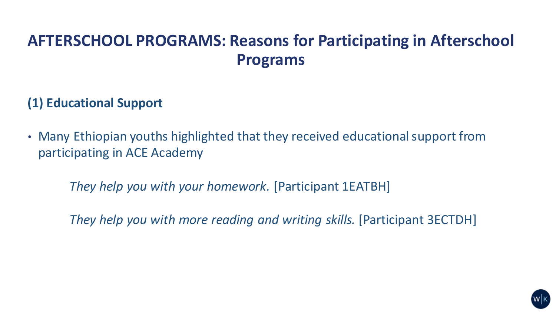## **AFTERSCHOOL PROGRAMS: Reasons for Participating in Afterschool Programs**

### **(1) Educational Support**

• Many Ethiopian youths highlighted that they received educational support from participating in ACE Academy

*They help you with your homework.* [Participant 1EATBH]

*They help you with more reading and writing skills.* [Participant 3ECTDH]

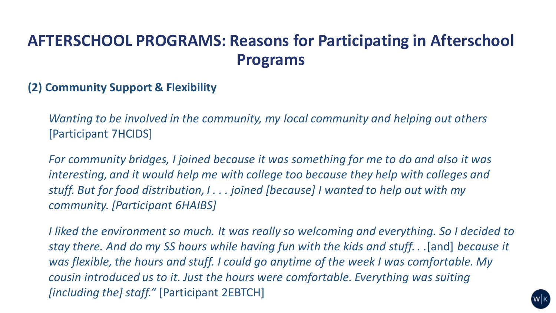## **AFTERSCHOOL PROGRAMS: Reasons for Participating in Afterschool Programs**

#### **(2) Community Support & Flexibility**

*Wanting to be involved in the community, my local community and helping out others* [Participant 7HCIDS]

*For community bridges, I joined because it was something for me to do and also it was interesting, and it would help me with college too because they help with colleges and stuff. But for food distribution, I . . . joined [because] I wanted to help out with my community. [Participant 6HAIBS]*

*I liked the environment so much. It was really so welcoming and everything. So I decided to stay there. And do my SS hours while having fun with the kids and stuff. . .*[and] *because it was flexible, the hours and stuff. I could go anytime of the week I was comfortable. My cousin introduced us to it. Just the hours were comfortable. Everything was suiting [including the] staff."* [Participant 2EBTCH]

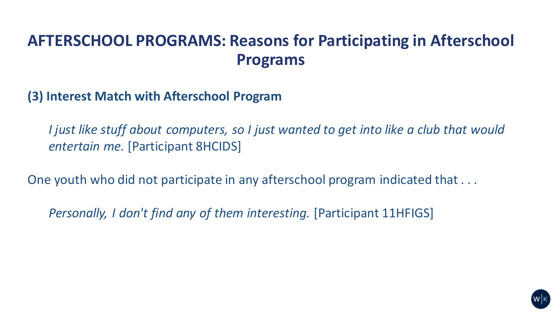## **AFTERSCHOOL PROGRAMS: Reasons for Participating in Afterschool Programs**

**(3) Interest Match with Afterschool Program** 

*I just like stuff about computers, so I just wanted to get into like a club that would entertain me.* [Participant 8HCIDS]

One youth who did not participate in any afterschool program indicated that . . .

*Personally, I don't find any of them interesting.* [Participant 11HFIGS]

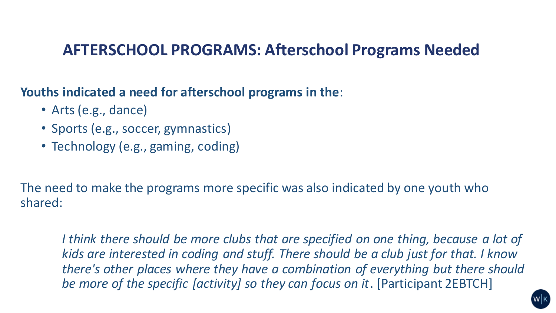## **AFTERSCHOOL PROGRAMS: Afterschool Programs Needed**

**Youths indicated a need for afterschool programs in the**:

- Arts (e.g., dance)
- Sports (e.g., soccer, gymnastics)
- Technology (e.g., gaming, coding)

The need to make the programs more specific was also indicated by one youth who shared:

*I think there should be more clubs that are specified on one thing, because a lot of kids are interested in coding and stuff. There should be a club just for that. I know there's other places where they have a combination of everything but there should be more of the specific [activity] so they can focus on it*. [Participant 2EBTCH]

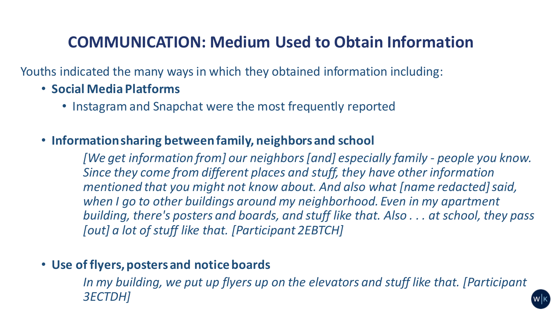## **COMMUNICATION: Medium Used to Obtain Information**

Youths indicated the many ways in which they obtained information including:

#### • **Social Media Platforms**

• Instagram and Snapchat were the most frequently reported

#### • **Information sharing between family, neighbors and school**

*[We get information from] our neighbors[and] especially family - people you know. Since they come from different places and stuff, they have other information mentioned that you might not know about. And also what [name redacted] said, when I go to other buildings around my neighborhood. Even in my apartment building, there's posters and boards, and stuff like that. Also . . . at school, they pass [out] a lot of stuff like that. [Participant 2EBTCH]*

#### • **Use of flyers, posters and notice boards**

In my building, we put up flyers up on the elevators and stuff like that. [Participant *3ECTDH]*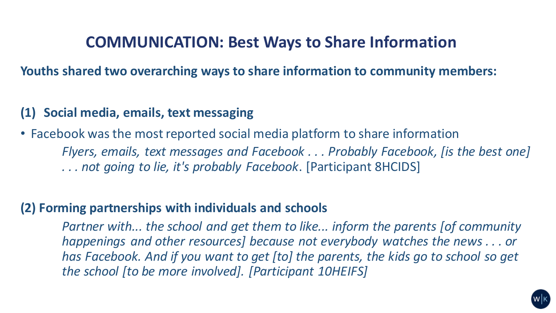## **COMMUNICATION: Best Ways to Share Information**

**Youths shared two overarching ways to share information to community members:**

#### **(1) Social media, emails, text messaging**

• Facebook was the most reported social media platform to share information *Flyers, emails, text messages and Facebook . . . Probably Facebook, [is the best one] . . . not going to lie, it's probably Facebook*. [Participant 8HCIDS]

#### **(2) Forming partnerships with individuals and schools**

*Partner with... the school and get them to like... inform the parents [of community happenings and other resources] because not everybody watches the news . . . or has Facebook. And if you want to get [to] the parents, the kids go to school so get the school [to be more involved]. [Participant 10HEIFS]* 

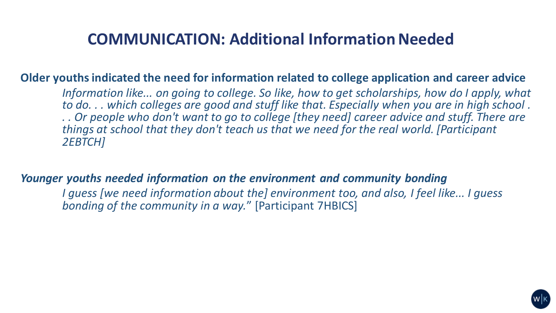## **COMMUNICATION: Additional Information Needed**

#### **Older youths indicated the need for information related to college application and career advice**

*Information like... on going to college. So like, how to get scholarships, how do I apply, what to do. . . which colleges are good and stuff like that. Especially when you are in high school . . . Or people who don't want to go to college [they need] career advice and stuff. There are things at school that they don't teach us that we need for the real world. [Participant 2EBTCH]*

#### *Younger youths needed information on the environment and community bonding*

*I guess [we need information about the] environment too, and also, I feel like... I guess bonding of the community in a way.*" [Participant 7HBICS]

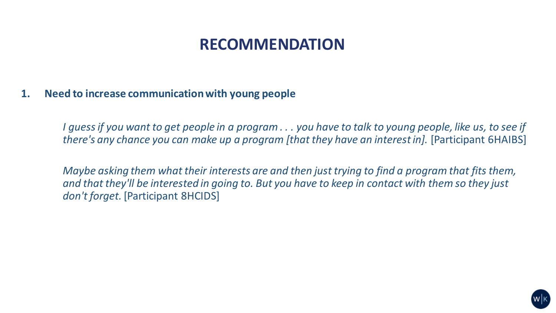#### **1. Need to increase communication with young people**

*I guess if you want to get people in a program . . . you have to talk to young people, like us, to see if there's any chance you can make up a program [that they have an interest in].* [Participant 6HAIBS]

*Maybe asking them what their interests are and then just trying to find a program that fits them, and that they'll be interested in going to. But you have to keep in contact with them so they just don't forget.* [Participant 8HCIDS]

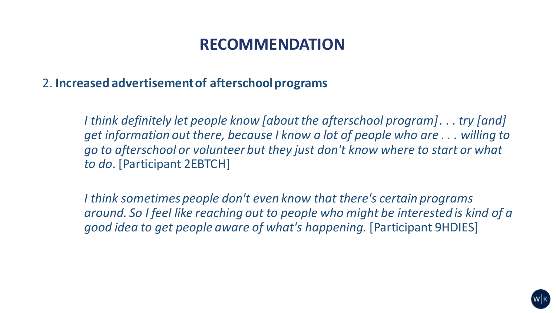2. **Increased advertisement of afterschool programs**

*I think definitely let people know [about the afterschool program] . . . try [and] get information out there, because I know a lot of people who are . . . willing to go to afterschool or volunteer but they just don't know where to start or what to do*. [Participant 2EBTCH]

*I think sometimes people don't even know that there's certain programs around. So I feel like reaching out to people who might be interested is kind of a good idea to get people aware of what's happening.* [Participant 9HDIES]

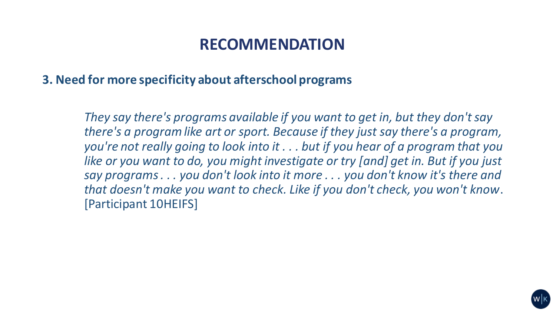**3. Need for more specificity about afterschool programs**

*They say there's programs available if you want to get in, but they don't say there's a program like art or sport. Because if they just say there's a program, you're not really going to look into it . . . but if you hear of a program that you like or you want to do, you might investigate or try [and] get in. But if you just say programs . . . you don't look into it more . . . you don't know it's there and that doesn't make you want to check. Like if you don't check, you won't know*. [Participant 10HEIFS]

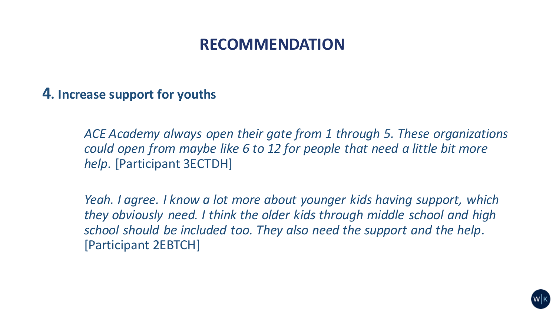### **4. Increase support for youths**

*ACE Academy always open their gate from 1 through 5. These organizations could open from maybe like 6 to 12 for people that need a little bit more help*. [Participant 3ECTDH]

*Yeah. I agree. I know a lot more about younger kids having support, which they obviously need. I think the older kids through middle school and high school should be included too. They also need the support and the help*. [Participant 2EBTCH]

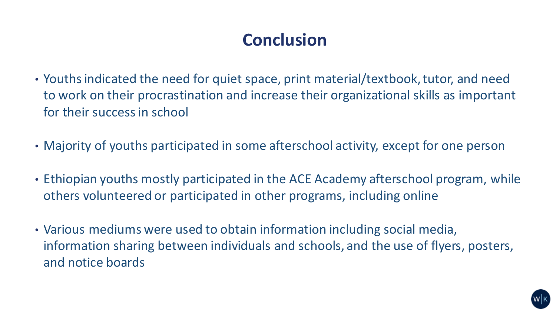## **Conclusion**

- Youths indicated the need for quiet space, print material/textbook, tutor, and need to work on their procrastination and increase their organizational skills as important for their success in school
- Majority of youths participated in some afterschool activity, except for one person
- Ethiopian youths mostly participated in the ACE Academy afterschool program, while others volunteered or participated in other programs, including online
- Various mediums were used to obtain information including social media, information sharing between individuals and schools, and the use of flyers, posters, and notice boards

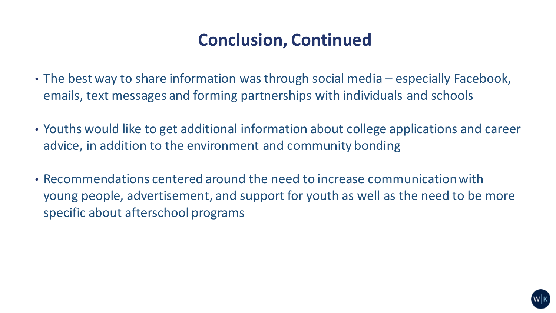## **Conclusion, Continued**

- The best way to share information was through social media especially Facebook, emails, text messages and forming partnerships with individuals and schools
- Youths would like to get additional information about college applications and career advice, in addition to the environment and community bonding
- Recommendations centered around the need to increase communication with young people, advertisement, and support for youth as well as the need to be more specific about afterschool programs